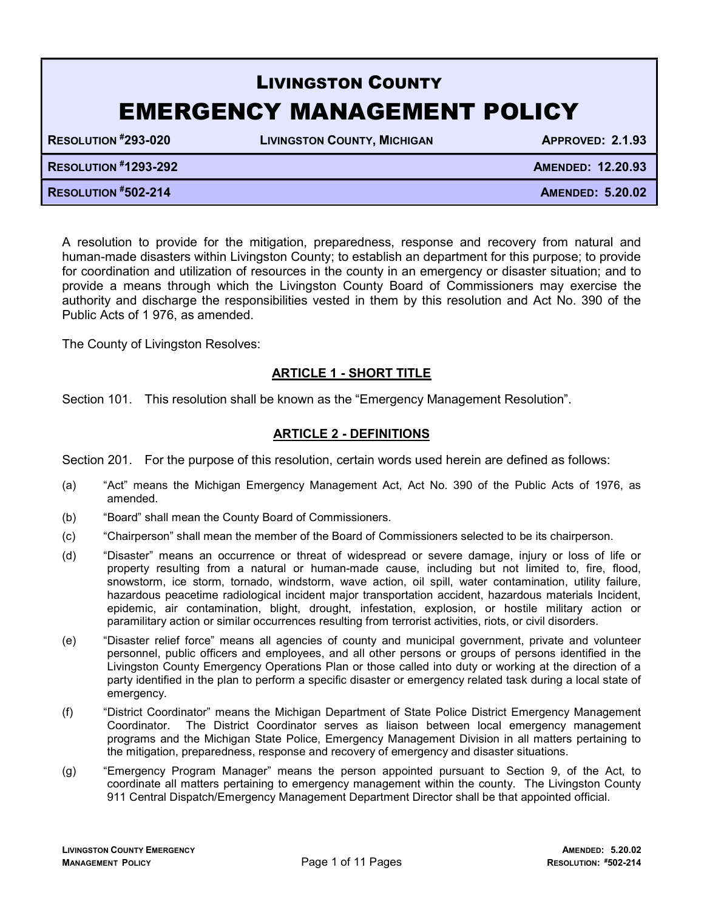# LIVINGSTON COUNTY EMERGENCY MANAGEMENT POLICY

RESOLUTION #293-020 LIVINGSTON COUNTY, MICHIGAN APPROVED: 2.1.93

| <b>RESOLUTION #1293-292</b> | <b>AMENDED: 12.20.93</b> |
|-----------------------------|--------------------------|
| <b>RESOLUTION #502-214</b>  | <b>AMENDED: 5.20.02</b>  |

A resolution to provide for the mitigation, preparedness, response and recovery from natural and human-made disasters within Livingston County; to establish an department for this purpose; to provide for coordination and utilization of resources in the county in an emergency or disaster situation; and to provide a means through which the Livingston County Board of Commissioners may exercise the authority and discharge the responsibilities vested in them by this resolution and Act No. 390 of the Public Acts of 1 976, as amended.

The County of Livingston Resolves:

# ARTICLE 1 - SHORT TITLE

Section 101. This resolution shall be known as the "Emergency Management Resolution".

## ARTICLE 2 - DEFINITIONS

Section 201. For the purpose of this resolution, certain words used herein are defined as follows:

- (a) "Act" means the Michigan Emergency Management Act, Act No. 390 of the Public Acts of 1976, as amended.
- (b) "Board" shall mean the County Board of Commissioners.
- (c) "Chairperson" shall mean the member of the Board of Commissioners selected to be its chairperson.
- (d) "Disaster" means an occurrence or threat of widespread or severe damage, injury or loss of life or property resulting from a natural or human-made cause, including but not limited to, fire, flood, snowstorm, ice storm, tornado, windstorm, wave action, oil spill, water contamination, utility failure, hazardous peacetime radiological incident major transportation accident, hazardous materials Incident, epidemic, air contamination, blight, drought, infestation, explosion, or hostile military action or paramilitary action or similar occurrences resulting from terrorist activities, riots, or civil disorders.
- (e) "Disaster relief force" means all agencies of county and municipal government, private and volunteer personnel, public officers and employees, and all other persons or groups of persons identified in the Livingston County Emergency Operations Plan or those called into duty or working at the direction of a party identified in the plan to perform a specific disaster or emergency related task during a local state of emergency.
- (f) "District Coordinator" means the Michigan Department of State Police District Emergency Management Coordinator. The District Coordinator serves as liaison between local emergency management programs and the Michigan State Police, Emergency Management Division in all matters pertaining to the mitigation, preparedness, response and recovery of emergency and disaster situations.
- (g) "Emergency Program Manager" means the person appointed pursuant to Section 9, of the Act, to coordinate all matters pertaining to emergency management within the county. The Livingston County 911 Central Dispatch/Emergency Management Department Director shall be that appointed official.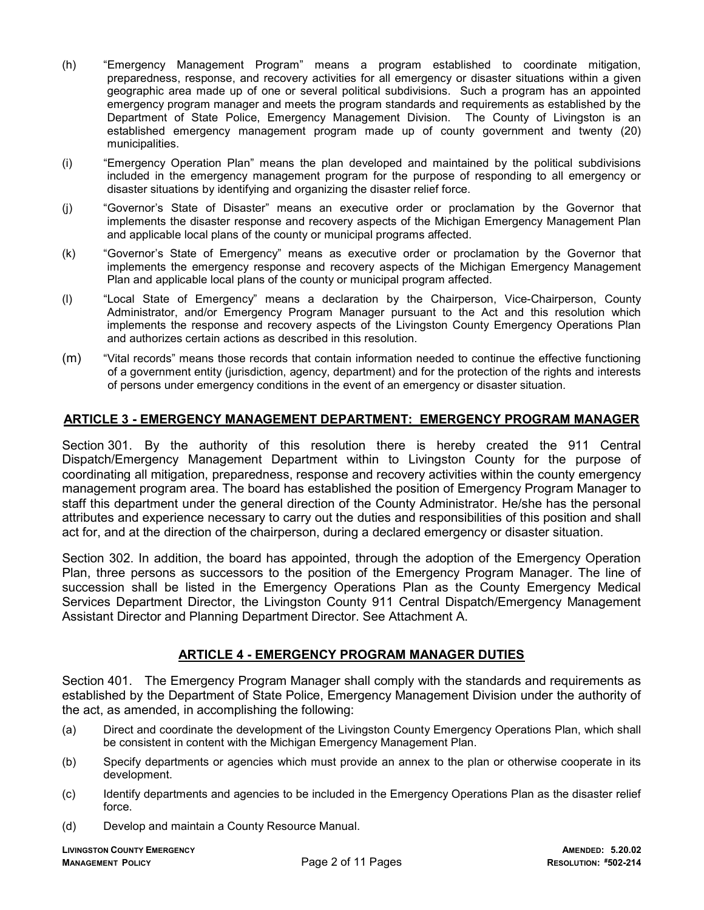- (h) "Emergency Management Program" means a program established to coordinate mitigation, preparedness, response, and recovery activities for all emergency or disaster situations within a given geographic area made up of one or several political subdivisions. Such a program has an appointed emergency program manager and meets the program standards and requirements as established by the Department of State Police, Emergency Management Division. The County of Livingston is an established emergency management program made up of county government and twenty (20) municipalities.
- (i) "Emergency Operation Plan" means the plan developed and maintained by the political subdivisions included in the emergency management program for the purpose of responding to all emergency or disaster situations by identifying and organizing the disaster relief force.
- (j) "Governor's State of Disaster" means an executive order or proclamation by the Governor that implements the disaster response and recovery aspects of the Michigan Emergency Management Plan and applicable local plans of the county or municipal programs affected.
- (k) "Governor's State of Emergency" means as executive order or proclamation by the Governor that implements the emergency response and recovery aspects of the Michigan Emergency Management Plan and applicable local plans of the county or municipal program affected.
- (l) "Local State of Emergency" means a declaration by the Chairperson, Vice-Chairperson, County Administrator, and/or Emergency Program Manager pursuant to the Act and this resolution which implements the response and recovery aspects of the Livingston County Emergency Operations Plan and authorizes certain actions as described in this resolution.
- (m) "Vital records" means those records that contain information needed to continue the effective functioning of a government entity (jurisdiction, agency, department) and for the protection of the rights and interests of persons under emergency conditions in the event of an emergency or disaster situation.

#### ARTICLE 3 - EMERGENCY MANAGEMENT DEPARTMENT: EMERGENCY PROGRAM MANAGER

Section 301. By the authority of this resolution there is hereby created the 911 Central Dispatch/Emergency Management Department within to Livingston County for the purpose of coordinating all mitigation, preparedness, response and recovery activities within the county emergency management program area. The board has established the position of Emergency Program Manager to staff this department under the general direction of the County Administrator. He/she has the personal attributes and experience necessary to carry out the duties and responsibilities of this position and shall act for, and at the direction of the chairperson, during a declared emergency or disaster situation.

Section 302. In addition, the board has appointed, through the adoption of the Emergency Operation Plan, three persons as successors to the position of the Emergency Program Manager. The line of succession shall be listed in the Emergency Operations Plan as the County Emergency Medical Services Department Director, the Livingston County 911 Central Dispatch/Emergency Management Assistant Director and Planning Department Director. See Attachment A.

#### ARTICLE 4 - EMERGENCY PROGRAM MANAGER DUTIES

Section 401. The Emergency Program Manager shall comply with the standards and requirements as established by the Department of State Police, Emergency Management Division under the authority of the act, as amended, in accomplishing the following:

- (a) Direct and coordinate the development of the Livingston County Emergency Operations Plan, which shall be consistent in content with the Michigan Emergency Management Plan.
- (b) Specify departments or agencies which must provide an annex to the plan or otherwise cooperate in its development.
- (c) Identify departments and agencies to be included in the Emergency Operations Plan as the disaster relief force.
- (d) Develop and maintain a County Resource Manual.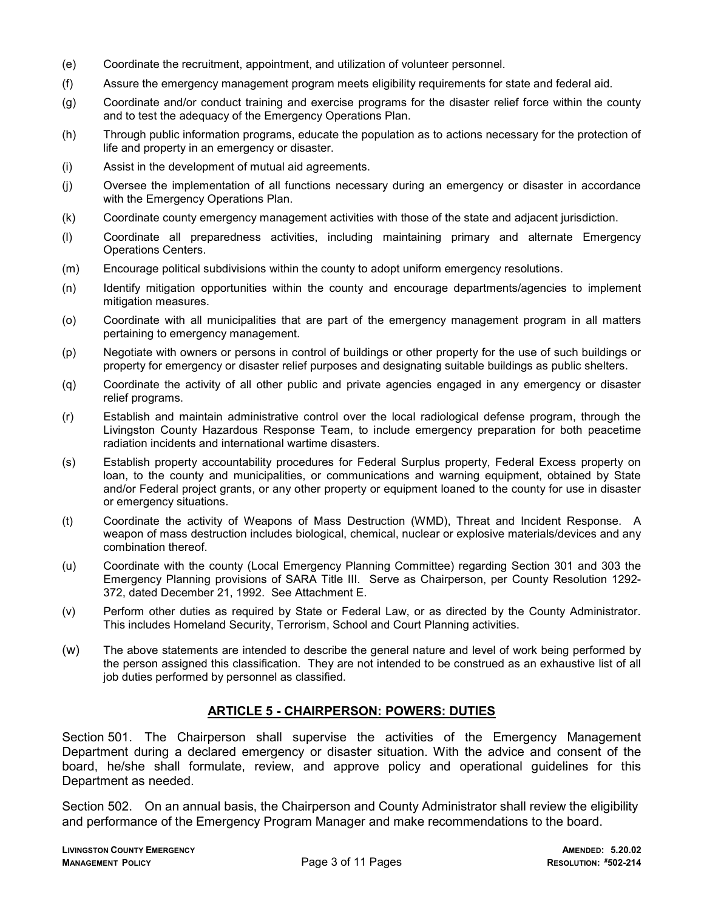- (e) Coordinate the recruitment, appointment, and utilization of volunteer personnel.
- (f) Assure the emergency management program meets eligibility requirements for state and federal aid.
- (g) Coordinate and/or conduct training and exercise programs for the disaster relief force within the county and to test the adequacy of the Emergency Operations Plan.
- (h) Through public information programs, educate the population as to actions necessary for the protection of life and property in an emergency or disaster.
- (i) Assist in the development of mutual aid agreements.
- (j) Oversee the implementation of all functions necessary during an emergency or disaster in accordance with the Emergency Operations Plan.
- (k) Coordinate county emergency management activities with those of the state and adjacent jurisdiction.
- (l) Coordinate all preparedness activities, including maintaining primary and alternate Emergency Operations Centers.
- (m) Encourage political subdivisions within the county to adopt uniform emergency resolutions.
- (n) Identify mitigation opportunities within the county and encourage departments/agencies to implement mitigation measures.
- (o) Coordinate with all municipalities that are part of the emergency management program in all matters pertaining to emergency management.
- (p) Negotiate with owners or persons in control of buildings or other property for the use of such buildings or property for emergency or disaster relief purposes and designating suitable buildings as public shelters.
- (q) Coordinate the activity of all other public and private agencies engaged in any emergency or disaster relief programs.
- (r) Establish and maintain administrative control over the local radiological defense program, through the Livingston County Hazardous Response Team, to include emergency preparation for both peacetime radiation incidents and international wartime disasters.
- (s) Establish property accountability procedures for Federal Surplus property, Federal Excess property on loan, to the county and municipalities, or communications and warning equipment, obtained by State and/or Federal project grants, or any other property or equipment loaned to the county for use in disaster or emergency situations.
- (t) Coordinate the activity of Weapons of Mass Destruction (WMD), Threat and Incident Response. A weapon of mass destruction includes biological, chemical, nuclear or explosive materials/devices and any combination thereof.
- (u) Coordinate with the county (Local Emergency Planning Committee) regarding Section 301 and 303 the Emergency Planning provisions of SARA Title III. Serve as Chairperson, per County Resolution 1292- 372, dated December 21, 1992. See Attachment E.
- (v) Perform other duties as required by State or Federal Law, or as directed by the County Administrator. This includes Homeland Security, Terrorism, School and Court Planning activities.
- (w) The above statements are intended to describe the general nature and level of work being performed by the person assigned this classification. They are not intended to be construed as an exhaustive list of all job duties performed by personnel as classified.

## ARTICLE 5 - CHAIRPERSON: POWERS: DUTIES

Section 501. The Chairperson shall supervise the activities of the Emergency Management Department during a declared emergency or disaster situation. With the advice and consent of the board, he/she shall formulate, review, and approve policy and operational guidelines for this Department as needed.

Section 502. On an annual basis, the Chairperson and County Administrator shall review the eligibility and performance of the Emergency Program Manager and make recommendations to the board.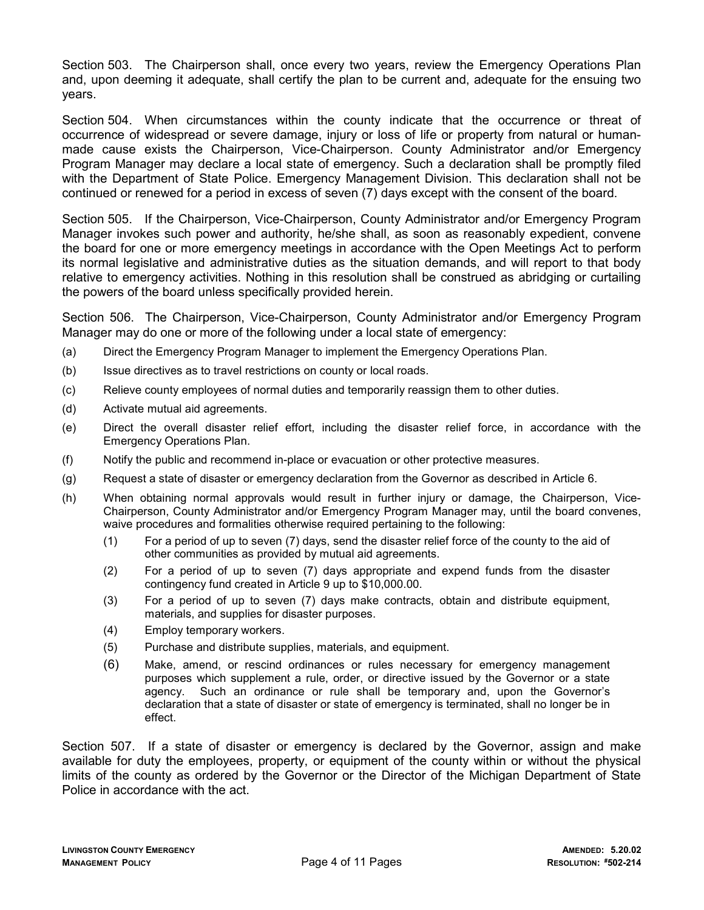Section 503. The Chairperson shall, once every two years, review the Emergency Operations Plan and, upon deeming it adequate, shall certify the plan to be current and, adequate for the ensuing two years.

Section 504. When circumstances within the county indicate that the occurrence or threat of occurrence of widespread or severe damage, injury or loss of life or property from natural or humanmade cause exists the Chairperson, Vice-Chairperson. County Administrator and/or Emergency Program Manager may declare a local state of emergency. Such a declaration shall be promptly filed with the Department of State Police. Emergency Management Division. This declaration shall not be continued or renewed for a period in excess of seven (7) days except with the consent of the board.

Section 505. If the Chairperson, Vice-Chairperson, County Administrator and/or Emergency Program Manager invokes such power and authority, he/she shall, as soon as reasonably expedient, convene the board for one or more emergency meetings in accordance with the Open Meetings Act to perform its normal legislative and administrative duties as the situation demands, and will report to that body relative to emergency activities. Nothing in this resolution shall be construed as abridging or curtailing the powers of the board unless specifically provided herein.

Section 506. The Chairperson, Vice-Chairperson, County Administrator and/or Emergency Program Manager may do one or more of the following under a local state of emergency:

- (a) Direct the Emergency Program Manager to implement the Emergency Operations Plan.
- (b) Issue directives as to travel restrictions on county or local roads.
- (c) Relieve county employees of normal duties and temporarily reassign them to other duties.
- (d) Activate mutual aid agreements.
- (e) Direct the overall disaster relief effort, including the disaster relief force, in accordance with the Emergency Operations Plan.
- (f) Notify the public and recommend in-place or evacuation or other protective measures.
- (g) Request a state of disaster or emergency declaration from the Governor as described in Article 6.
- (h) When obtaining normal approvals would result in further injury or damage, the Chairperson, Vice-Chairperson, County Administrator and/or Emergency Program Manager may, until the board convenes, waive procedures and formalities otherwise required pertaining to the following:
	- (1) For a period of up to seven (7) days, send the disaster relief force of the county to the aid of other communities as provided by mutual aid agreements.
	- (2) For a period of up to seven (7) days appropriate and expend funds from the disaster contingency fund created in Article 9 up to \$10,000.00.
	- (3) For a period of up to seven (7) days make contracts, obtain and distribute equipment, materials, and supplies for disaster purposes.
	- (4) Employ temporary workers.
	- (5) Purchase and distribute supplies, materials, and equipment.
	- (6) Make, amend, or rescind ordinances or rules necessary for emergency management purposes which supplement a rule, order, or directive issued by the Governor or a state agency. Such an ordinance or rule shall be temporary and, upon the Governor's declaration that a state of disaster or state of emergency is terminated, shall no longer be in effect.

Section 507. If a state of disaster or emergency is declared by the Governor, assign and make available for duty the employees, property, or equipment of the county within or without the physical limits of the county as ordered by the Governor or the Director of the Michigan Department of State Police in accordance with the act.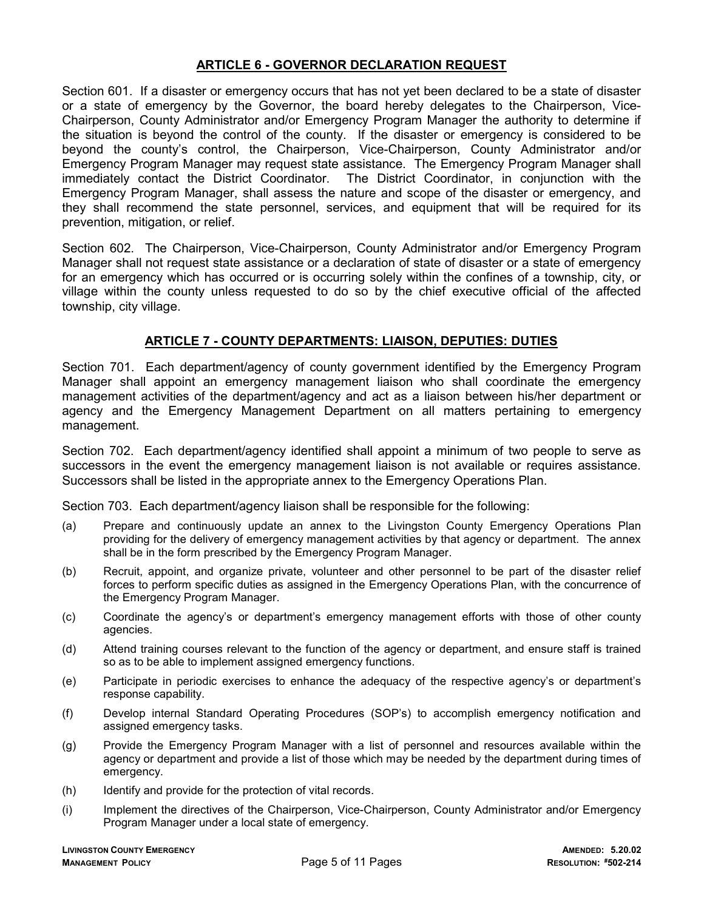## ARTICLE 6 - GOVERNOR DECLARATION REQUEST

Section 601. If a disaster or emergency occurs that has not yet been declared to be a state of disaster or a state of emergency by the Governor, the board hereby delegates to the Chairperson, Vice-Chairperson, County Administrator and/or Emergency Program Manager the authority to determine if the situation is beyond the control of the county. If the disaster or emergency is considered to be beyond the county's control, the Chairperson, Vice-Chairperson, County Administrator and/or Emergency Program Manager may request state assistance. The Emergency Program Manager shall immediately contact the District Coordinator. The District Coordinator, in conjunction with the Emergency Program Manager, shall assess the nature and scope of the disaster or emergency, and they shall recommend the state personnel, services, and equipment that will be required for its prevention, mitigation, or relief.

Section 602. The Chairperson, Vice-Chairperson, County Administrator and/or Emergency Program Manager shall not request state assistance or a declaration of state of disaster or a state of emergency for an emergency which has occurred or is occurring solely within the confines of a township, city, or village within the county unless requested to do so by the chief executive official of the affected township, city village.

## ARTICLE 7 - COUNTY DEPARTMENTS: LIAISON, DEPUTIES: DUTIES

Section 701. Each department/agency of county government identified by the Emergency Program Manager shall appoint an emergency management liaison who shall coordinate the emergency management activities of the department/agency and act as a liaison between his/her department or agency and the Emergency Management Department on all matters pertaining to emergency management.

Section 702. Each department/agency identified shall appoint a minimum of two people to serve as successors in the event the emergency management liaison is not available or requires assistance. Successors shall be listed in the appropriate annex to the Emergency Operations Plan.

Section 703. Each department/agency liaison shall be responsible for the following:

- (a) Prepare and continuously update an annex to the Livingston County Emergency Operations Plan providing for the delivery of emergency management activities by that agency or department. The annex shall be in the form prescribed by the Emergency Program Manager.
- (b) Recruit, appoint, and organize private, volunteer and other personnel to be part of the disaster relief forces to perform specific duties as assigned in the Emergency Operations Plan, with the concurrence of the Emergency Program Manager.
- (c) Coordinate the agency's or department's emergency management efforts with those of other county agencies.
- (d) Attend training courses relevant to the function of the agency or department, and ensure staff is trained so as to be able to implement assigned emergency functions.
- (e) Participate in periodic exercises to enhance the adequacy of the respective agency's or department's response capability.
- (f) Develop internal Standard Operating Procedures (SOP's) to accomplish emergency notification and assigned emergency tasks.
- (g) Provide the Emergency Program Manager with a list of personnel and resources available within the agency or department and provide a list of those which may be needed by the department during times of emergency.
- (h) Identify and provide for the protection of vital records.
- (i) Implement the directives of the Chairperson, Vice-Chairperson, County Administrator and/or Emergency Program Manager under a local state of emergency.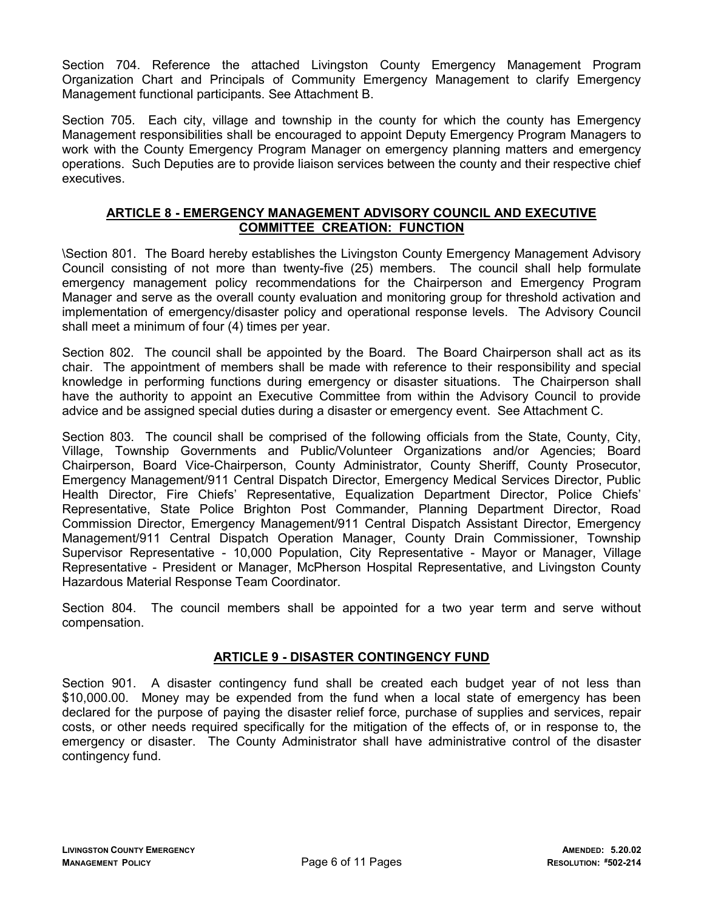Section 704. Reference the attached Livingston County Emergency Management Program Organization Chart and Principals of Community Emergency Management to clarify Emergency Management functional participants. See Attachment B.

Section 705. Each city, village and township in the county for which the county has Emergency Management responsibilities shall be encouraged to appoint Deputy Emergency Program Managers to work with the County Emergency Program Manager on emergency planning matters and emergency operations. Such Deputies are to provide liaison services between the county and their respective chief executives.

## ARTICLE 8 - EMERGENCY MANAGEMENT ADVISORY COUNCIL AND EXECUTIVE COMMITTEE CREATION: FUNCTION

\Section 801. The Board hereby establishes the Livingston County Emergency Management Advisory Council consisting of not more than twenty-five (25) members. The council shall help formulate emergency management policy recommendations for the Chairperson and Emergency Program Manager and serve as the overall county evaluation and monitoring group for threshold activation and implementation of emergency/disaster policy and operational response levels. The Advisory Council shall meet a minimum of four (4) times per year.

Section 802. The council shall be appointed by the Board. The Board Chairperson shall act as its chair. The appointment of members shall be made with reference to their responsibility and special knowledge in performing functions during emergency or disaster situations. The Chairperson shall have the authority to appoint an Executive Committee from within the Advisory Council to provide advice and be assigned special duties during a disaster or emergency event. See Attachment C.

Section 803. The council shall be comprised of the following officials from the State, County, City, Village, Township Governments and Public/Volunteer Organizations and/or Agencies; Board Chairperson, Board Vice-Chairperson, County Administrator, County Sheriff, County Prosecutor, Emergency Management/911 Central Dispatch Director, Emergency Medical Services Director, Public Health Director, Fire Chiefs' Representative, Equalization Department Director, Police Chiefs' Representative, State Police Brighton Post Commander, Planning Department Director, Road Commission Director, Emergency Management/911 Central Dispatch Assistant Director, Emergency Management/911 Central Dispatch Operation Manager, County Drain Commissioner, Township Supervisor Representative - 10,000 Population, City Representative - Mayor or Manager, Village Representative - President or Manager, McPherson Hospital Representative, and Livingston County Hazardous Material Response Team Coordinator.

Section 804. The council members shall be appointed for a two year term and serve without compensation.

## ARTICLE 9 - DISASTER CONTINGENCY FUND

Section 901. A disaster contingency fund shall be created each budget year of not less than \$10,000.00. Money may be expended from the fund when a local state of emergency has been declared for the purpose of paying the disaster relief force, purchase of supplies and services, repair costs, or other needs required specifically for the mitigation of the effects of, or in response to, the emergency or disaster. The County Administrator shall have administrative control of the disaster contingency fund.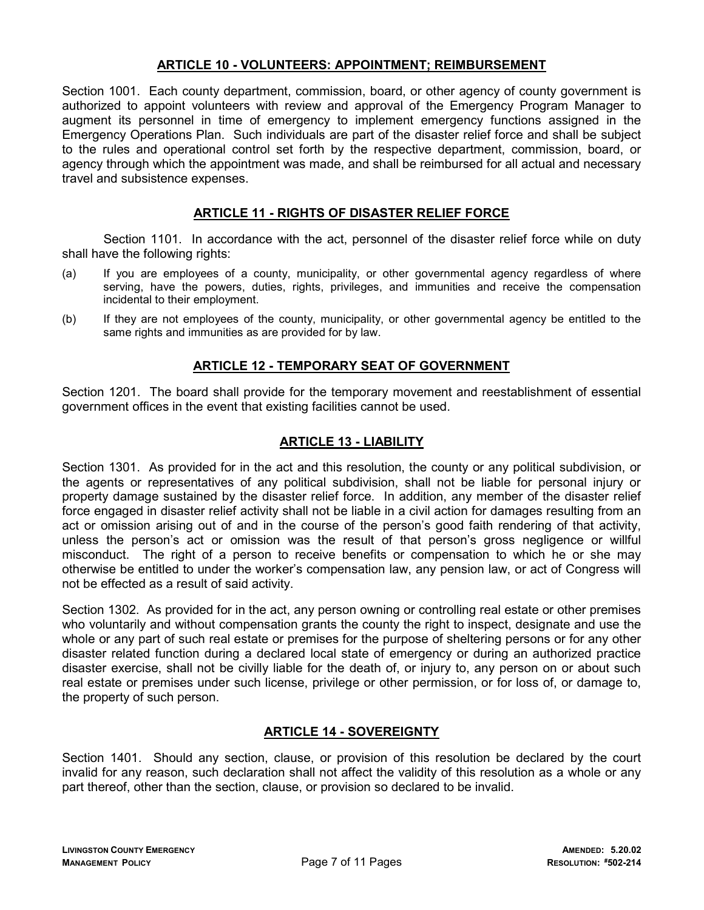## ARTICLE 10 - VOLUNTEERS: APPOINTMENT; REIMBURSEMENT

Section 1001. Each county department, commission, board, or other agency of county government is authorized to appoint volunteers with review and approval of the Emergency Program Manager to augment its personnel in time of emergency to implement emergency functions assigned in the Emergency Operations Plan. Such individuals are part of the disaster relief force and shall be subject to the rules and operational control set forth by the respective department, commission, board, or agency through which the appointment was made, and shall be reimbursed for all actual and necessary travel and subsistence expenses.

#### ARTICLE 11 - RIGHTS OF DISASTER RELIEF FORCE

 Section 1101. In accordance with the act, personnel of the disaster relief force while on duty shall have the following rights:

- (a) If you are employees of a county, municipality, or other governmental agency regardless of where serving, have the powers, duties, rights, privileges, and immunities and receive the compensation incidental to their employment.
- (b) If they are not employees of the county, municipality, or other governmental agency be entitled to the same rights and immunities as are provided for by law.

## ARTICLE 12 - TEMPORARY SEAT OF GOVERNMENT

Section 1201. The board shall provide for the temporary movement and reestablishment of essential government offices in the event that existing facilities cannot be used.

#### ARTICLE 13 - LIABILITY

Section 1301. As provided for in the act and this resolution, the county or any political subdivision, or the agents or representatives of any political subdivision, shall not be liable for personal injury or property damage sustained by the disaster relief force. In addition, any member of the disaster relief force engaged in disaster relief activity shall not be liable in a civil action for damages resulting from an act or omission arising out of and in the course of the person's good faith rendering of that activity, unless the person's act or omission was the result of that person's gross negligence or willful misconduct. The right of a person to receive benefits or compensation to which he or she may otherwise be entitled to under the worker's compensation law, any pension law, or act of Congress will not be effected as a result of said activity.

Section 1302. As provided for in the act, any person owning or controlling real estate or other premises who voluntarily and without compensation grants the county the right to inspect, designate and use the whole or any part of such real estate or premises for the purpose of sheltering persons or for any other disaster related function during a declared local state of emergency or during an authorized practice disaster exercise, shall not be civilly liable for the death of, or injury to, any person on or about such real estate or premises under such license, privilege or other permission, or for loss of, or damage to, the property of such person.

#### ARTICLE 14 - SOVEREIGNTY

Section 1401. Should any section, clause, or provision of this resolution be declared by the court invalid for any reason, such declaration shall not affect the validity of this resolution as a whole or any part thereof, other than the section, clause, or provision so declared to be invalid.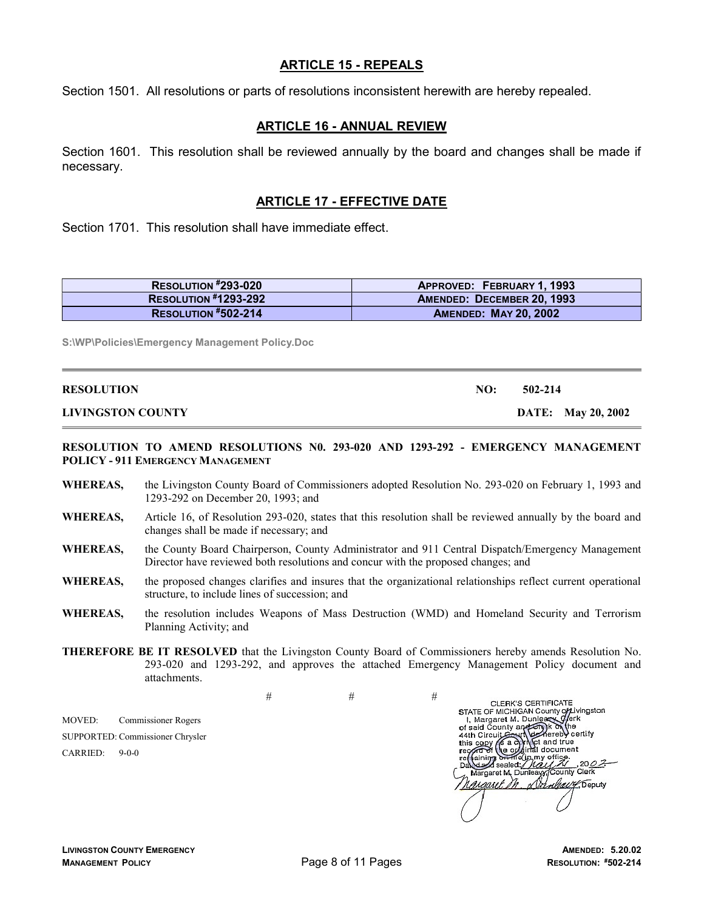#### ARTICLE 15 - REPEALS

Section 1501. All resolutions or parts of resolutions inconsistent herewith are hereby repealed.

#### ARTICLE 16 - ANNUAL REVIEW

Section 1601. This resolution shall be reviewed annually by the board and changes shall be made if necessary.

## ARTICLE 17 - EFFECTIVE DATE

Section 1701. This resolution shall have immediate effect.

| RESOLUTION #293-020         | <b>APPROVED: FEBRUARY 1, 1993</b> |
|-----------------------------|-----------------------------------|
| <b>RESOLUTION #1293-292</b> | AMENDED: DECEMBER 20, 1993        |
| <b>RESOLUTION #502-214</b>  | <b>AMENDED: MAY 20, 2002</b>      |

S:\WP\Policies\Emergency Management Policy.Doc

L

| <b>RESOLUTION</b>        | NO: | 502-214                   |
|--------------------------|-----|---------------------------|
| <b>LIVINGSTON COUNTY</b> |     | <b>DATE:</b> May 20, 2002 |

#### RESOLUTION TO AMEND RESOLUTIONS N0. 293-020 AND 1293-292 - EMERGENCY MANAGEMENT POLICY - 911 EMERGENCY MANAGEMENT

- WHEREAS, the Livingston County Board of Commissioners adopted Resolution No. 293-020 on February 1, 1993 and 1293-292 on December 20, 1993; and
- WHEREAS, Article 16, of Resolution 293-020, states that this resolution shall be reviewed annually by the board and changes shall be made if necessary; and
- WHEREAS, the County Board Chairperson, County Administrator and 911 Central Dispatch/Emergency Management Director have reviewed both resolutions and concur with the proposed changes; and
- WHEREAS, the proposed changes clarifies and insures that the organizational relationships reflect current operational structure, to include lines of succession; and
- WHEREAS, the resolution includes Weapons of Mass Destruction (WMD) and Homeland Security and Terrorism Planning Activity; and
- THEREFORE BE IT RESOLVED that the Livingston County Board of Commissioners hereby amends Resolution No. 293-020 and 1293-292, and approves the attached Emergency Management Policy document and attachments.

MOVED: Commissioner Rogers SUPPORTED: Commissioner Chrysler CARRIED: 9-0-0

 $\#$   $\#$   $\#$ 

CLERK'S CERTIFICATE<br>
STATE OF MICHIGAN County of Livingston<br>
1, Margaret M. Dunless, Vark<br>
44th Circuit Easy (Varian dree Variaty<br>
44th Circuit Easy (Varian dree Variaty<br>
this copy (Fa a) March dree variations<br>
the contrib Margaret M. Dunleavy County Clerk<br>Magaret M. Nanleavy, County Clerk *praquet. In*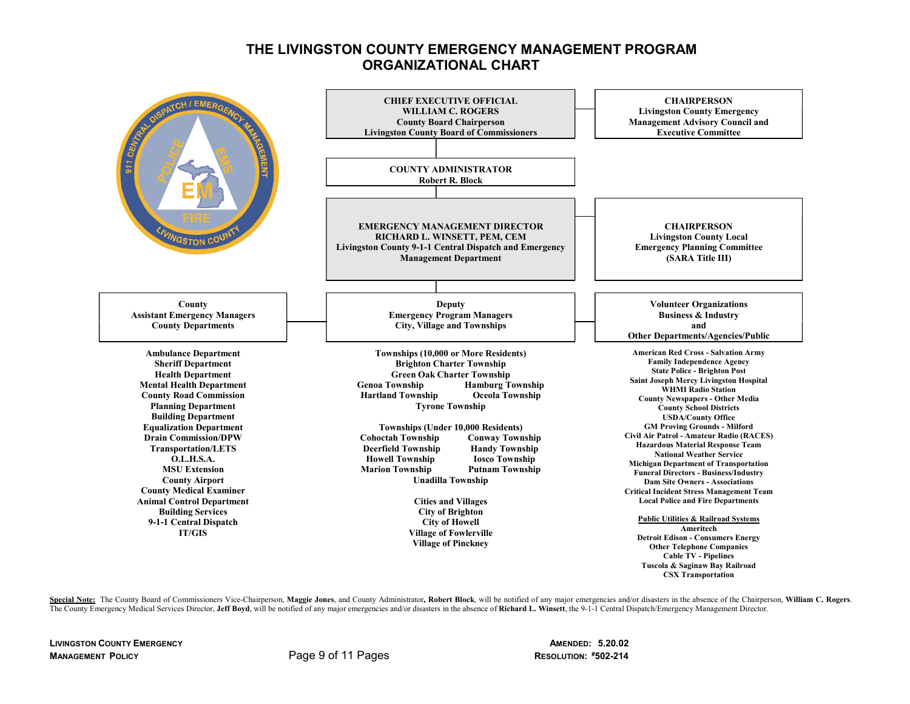## THE LIVINGSTON COUNTY EMERGENCY MANAGEMENT PROGRAM ORGANIZATIONAL CHART



Special Note: The County Board of Commissioners Vice-Chairperson, Maggie Jones, and County Administrator, Robert Block, will be notified of any major emergencies and/or disasters in the absence of the Chairperson, William The County Emergency Medical Services Director, Jeff Boyd, will be notified of any major emergencies and/or disasters in the absence of Richard L. Winsett, the 9-1-1 Central Dispatch/Emergency Management Director.

LIVINGSTON COUNTY EMERGENCY AMENDED: 5.20.02 MANAGEMENT POLICY **Page 9 of 11 Pages** 

**RESOLUTION: #502-214**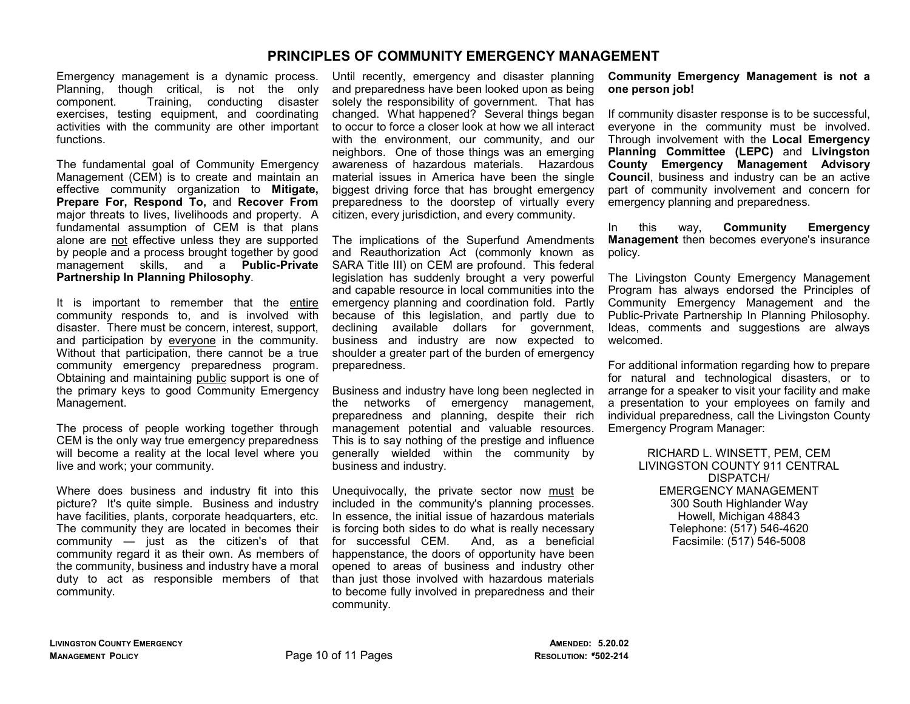## PRINCIPLES OF COMMUNITY EMERGENCY MANAGEMENT

Emergency management is a dynamic process. Planning, though critical, is not the only component. Training, conducting disaster exercises, testing equipment, and coordinating activities with the community are other important functions.

The fundamental goal of Community Emergency Management (CEM) is to create and maintain an effective community organization to Mitigate, Prepare For, Respond To, and Recover From major threats to lives, livelihoods and property. A fundamental assumption of CEM is that plans alone are not effective unless they are supported by people and a process brought together by good management skills, and a Public-Private Partnership In Planning Philosophy.

It is important to remember that the entire community responds to, and is involved with disaster. There must be concern, interest, support, and participation by everyone in the community. Without that participation, there cannot be a true community emergency preparedness program. Obtaining and maintaining public support is one of the primary keys to good Community Emergency Management.

The process of people working together through CEM is the only way true emergency preparedness will become a reality at the local level where you live and work; your community.

Where does business and industry fit into this picture? It's quite simple. Business and industry have facilities, plants, corporate headquarters, etc. The community they are located in becomes their community — just as the citizen's of that community regard it as their own. As members of the community, business and industry have a moral duty to act as responsible members of that community.

Until recently, emergency and disaster planning and preparedness have been looked upon as being solely the responsibility of government. That has changed. What happened? Several things began to occur to force a closer look at how we all interact with the environment, our community, and our neighbors. One of those things was an emerging awareness of hazardous materials. Hazardous material issues in America have been the single biggest driving force that has brought emergency preparedness to the doorstep of virtually every citizen, every jurisdiction, and every community.

The implications of the Superfund Amendments and Reauthorization Act (commonly known as SARA Title III) on CEM are profound. This federal legislation has suddenly brought a very powerful and capable resource in local communities into the emergency planning and coordination fold. Partly because of this legislation, and partly due to declining available dollars for government, business and industry are now expected to shoulder a greater part of the burden of emergency preparedness.

Business and industry have long been neglected in the networks of emergency management, preparedness and planning, despite their rich management potential and valuable resources. This is to say nothing of the prestige and influence generally wielded within the community by business and industry.

Unequivocally, the private sector now must be included in the community's planning processes. In essence, the initial issue of hazardous materials is forcing both sides to do what is really necessary for successful CEM. And, as a beneficial happenstance, the doors of opportunity have been opened to areas of business and industry other than just those involved with hazardous materials to become fully involved in preparedness and their community.

#### Community Emergency Management is not a one person job!

If community disaster response is to be successful, everyone in the community must be involved. Through involvement with the Local Emergency Planning Committee (LEPC) and Livingston County Emergency Management Advisory Council, business and industry can be an active part of community involvement and concern for emergency planning and preparedness.

In this way, Community Emergency Management then becomes everyone's insurance policy.

The Livingston County Emergency Management Program has always endorsed the Principles of Community Emergency Management and the Public-Private Partnership In Planning Philosophy. Ideas, comments and suggestions are always welcomed.

For additional information regarding how to prepare for natural and technological disasters, or to arrange for a speaker to visit your facility and make a presentation to your employees on family and individual preparedness, call the Livingston County Emergency Program Manager:

> RICHARD L. WINSETT, PEM, CEM LIVINGSTON COUNTY 911 CENTRAL DISPATCH/ EMERGENCY MANAGEMENT 300 South Highlander Way Howell, Michigan 48843 Telephone: (517) 546-4620 Facsimile: (517) 546-5008